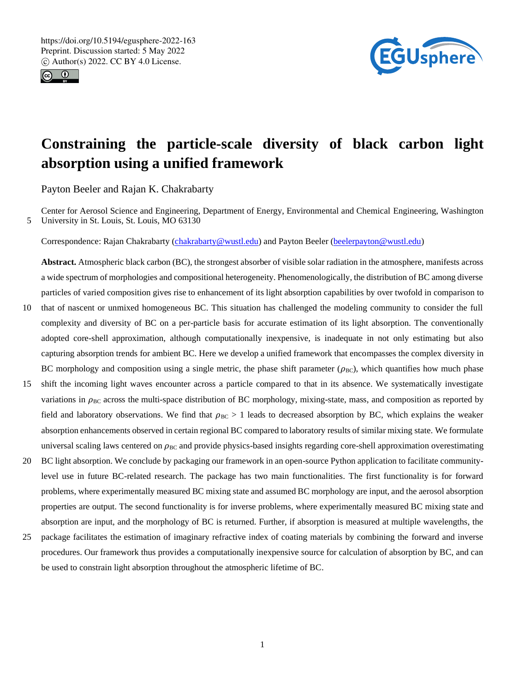



# **Constraining the particle-scale diversity of black carbon light absorption using a unified framework**

Payton Beeler and Rajan K. Chakrabarty

Center for Aerosol Science and Engineering, Department of Energy, Environmental and Chemical Engineering, Washington 5 University in St. Louis, St. Louis, MO 63130

Correspondence: Rajan Chakrabarty (chakrabarty@wustl.edu) and Payton Beeler (beelerpayton@wustl.edu)

**Abstract.** Atmospheric black carbon (BC), the strongest absorber of visible solar radiation in the atmosphere, manifests across a wide spectrum of morphologies and compositional heterogeneity. Phenomenologically, the distribution of BC among diverse particles of varied composition gives rise to enhancement of its light absorption capabilities by over twofold in comparison to

- 10 that of nascent or unmixed homogeneous BC. This situation has challenged the modeling community to consider the full complexity and diversity of BC on a per-particle basis for accurate estimation of its light absorption. The conventionally adopted core-shell approximation, although computationally inexpensive, is inadequate in not only estimating but also capturing absorption trends for ambient BC. Here we develop a unified framework that encompasses the complex diversity in BC morphology and composition using a single metric, the phase shift parameter  $(\rho_{BC})$ , which quantifies how much phase
- 15 shift the incoming light waves encounter across a particle compared to that in its absence. We systematically investigate variations in  $\rho_{BC}$  across the multi-space distribution of BC morphology, mixing-state, mass, and composition as reported by field and laboratory observations. We find that  $\rho_{BC} > 1$  leads to decreased absorption by BC, which explains the weaker absorption enhancements observed in certain regional BC compared to laboratory results of similar mixing state. We formulate universal scaling laws centered on  $\rho_{BC}$  and provide physics-based insights regarding core-shell approximation overestimating
- 20 BC light absorption. We conclude by packaging our framework in an open-source Python application to facilitate communitylevel use in future BC-related research. The package has two main functionalities. The first functionality is for forward problems, where experimentally measured BC mixing state and assumed BC morphology are input, and the aerosol absorption properties are output. The second functionality is for inverse problems, where experimentally measured BC mixing state and absorption are input, and the morphology of BC is returned. Further, if absorption is measured at multiple wavelengths, the
- 25 package facilitates the estimation of imaginary refractive index of coating materials by combining the forward and inverse procedures. Our framework thus provides a computationally inexpensive source for calculation of absorption by BC, and can be used to constrain light absorption throughout the atmospheric lifetime of BC.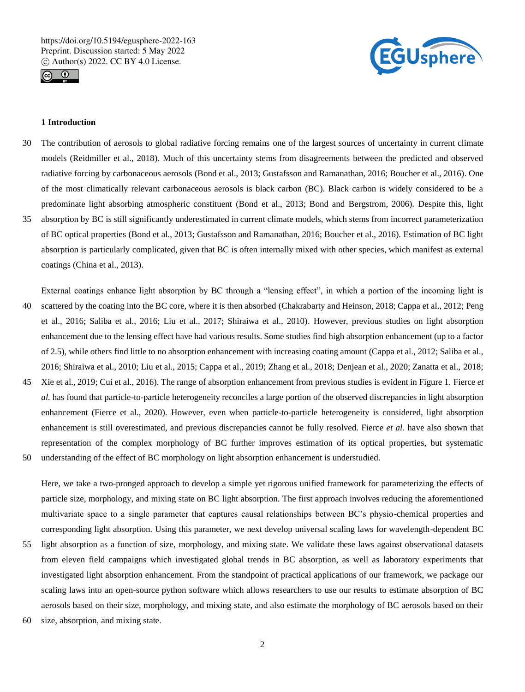



# **1 Introduction**

- 30 The contribution of aerosols to global radiative forcing remains one of the largest sources of uncertainty in current climate models (Reidmiller et al., 2018). Much of this uncertainty stems from disagreements between the predicted and observed radiative forcing by carbonaceous aerosols (Bond et al., 2013; Gustafsson and Ramanathan, 2016; Boucher et al., 2016). One of the most climatically relevant carbonaceous aerosols is black carbon (BC). Black carbon is widely considered to be a predominate light absorbing atmospheric constituent (Bond et al., 2013; Bond and Bergstrom, 2006). Despite this, light 35 absorption by BC is still significantly underestimated in current climate models, which stems from incorrect parameterization
- of BC optical properties (Bond et al., 2013; Gustafsson and Ramanathan, 2016; Boucher et al., 2016). Estimation of BC light absorption is particularly complicated, given that BC is often internally mixed with other species, which manifest as external coatings (China et al., 2013).

External coatings enhance light absorption by BC through a "lensing effect", in which a portion of the incoming light is 40 scattered by the coating into the BC core, where it is then absorbed (Chakrabarty and Heinson, 2018; Cappa et al., 2012; Peng et al., 2016; Saliba et al., 2016; Liu et al., 2017; Shiraiwa et al., 2010). However, previous studies on light absorption enhancement due to the lensing effect have had various results. Some studies find high absorption enhancement (up to a factor of 2.5), while others find little to no absorption enhancement with increasing coating amount (Cappa et al., 2012; Saliba et al., 2016; Shiraiwa et al., 2010; Liu et al., 2015; Cappa et al., 2019; Zhang et al., 2018; Denjean et al., 2020; Zanatta et al., 2018;

- 45 Xie et al., 2019; Cui et al., 2016). The range of absorption enhancement from previous studies is evident in Figure 1. Fierce *et al.* has found that particle-to-particle heterogeneity reconciles a large portion of the observed discrepancies in light absorption enhancement (Fierce et al., 2020). However, even when particle-to-particle heterogeneity is considered, light absorption enhancement is still overestimated, and previous discrepancies cannot be fully resolved. Fierce *et al.* have also shown that representation of the complex morphology of BC further improves estimation of its optical properties, but systematic
- 50 understanding of the effect of BC morphology on light absorption enhancement is understudied.

Here, we take a two-pronged approach to develop a simple yet rigorous unified framework for parameterizing the effects of particle size, morphology, and mixing state on BC light absorption. The first approach involves reducing the aforementioned multivariate space to a single parameter that captures causal relationships between BC's physio-chemical properties and corresponding light absorption. Using this parameter, we next develop universal scaling laws for wavelength-dependent BC

- 55 light absorption as a function of size, morphology, and mixing state. We validate these laws against observational datasets from eleven field campaigns which investigated global trends in BC absorption, as well as laboratory experiments that investigated light absorption enhancement. From the standpoint of practical applications of our framework, we package our scaling laws into an open-source python software which allows researchers to use our results to estimate absorption of BC aerosols based on their size, morphology, and mixing state, and also estimate the morphology of BC aerosols based on their
- 60 size, absorption, and mixing state.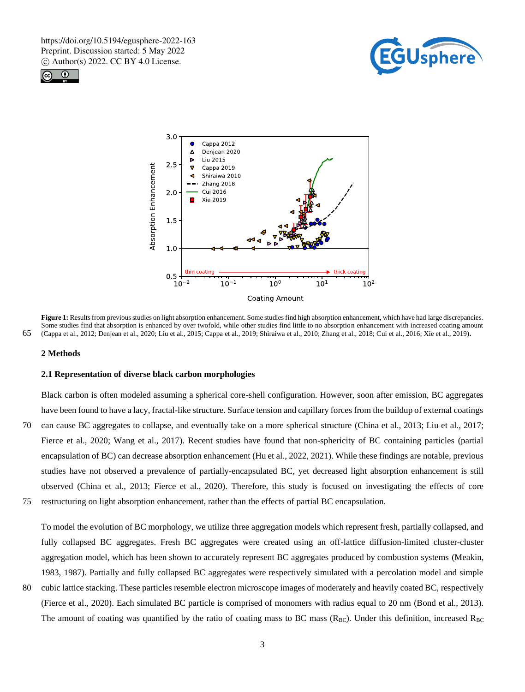





**Figure 1:** Results from previous studies on light absorption enhancement. Some studies find high absorption enhancement, which have had large discrepancies. Some studies find that absorption is enhanced by over twofold, while other studies find little to no absorption enhancement with increased coating amount 65 (Cappa et al., 2012; Denjean et al., 2020; Liu et al., 2015; Cappa et al., 2019; Shiraiwa et al., 2010; Zhang et al., 2018; Cui et al., 2016; Xie et al., 2019)**.** 

#### **2 Methods**

#### **2.1 Representation of diverse black carbon morphologies**

Black carbon is often modeled assuming a spherical core-shell configuration. However, soon after emission, BC aggregates have been found to have a lacy, fractal-like structure. Surface tension and capillary forces from the buildup of external coatings 70 can cause BC aggregates to collapse, and eventually take on a more spherical structure (China et al., 2013; Liu et al., 2017; Fierce et al., 2020; Wang et al., 2017). Recent studies have found that non-sphericity of BC containing particles (partial encapsulation of BC) can decrease absorption enhancement (Hu et al., 2022, 2021). While these findings are notable, previous studies have not observed a prevalence of partially-encapsulated BC, yet decreased light absorption enhancement is still observed (China et al., 2013; Fierce et al., 2020). Therefore, this study is focused on investigating the effects of core

75 restructuring on light absorption enhancement, rather than the effects of partial BC encapsulation.

To model the evolution of BC morphology, we utilize three aggregation models which represent fresh, partially collapsed, and fully collapsed BC aggregates. Fresh BC aggregates were created using an off-lattice diffusion-limited cluster-cluster aggregation model, which has been shown to accurately represent BC aggregates produced by combustion systems (Meakin, 1983, 1987). Partially and fully collapsed BC aggregates were respectively simulated with a percolation model and simple

80 cubic lattice stacking. These particles resemble electron microscope images of moderately and heavily coated BC, respectively (Fierce et al., 2020). Each simulated BC particle is comprised of monomers with radius equal to 20 nm (Bond et al., 2013). The amount of coating was quantified by the ratio of coating mass to BC mass  $(R_{BC})$ . Under this definition, increased  $R_{BC}$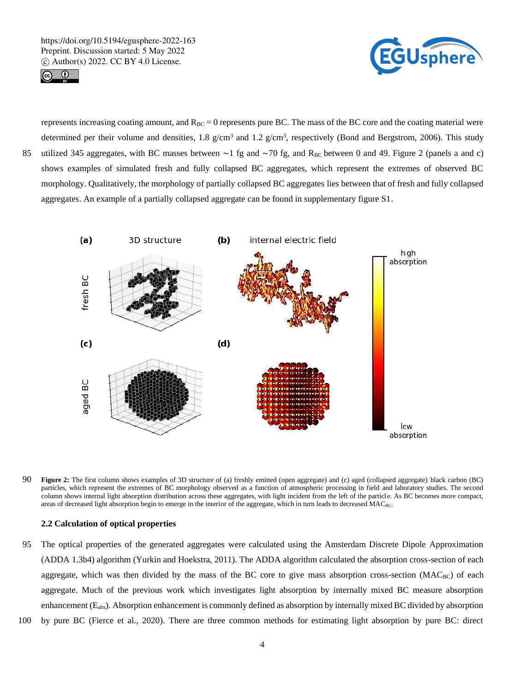



represents increasing coating amount, and  $R_{BC} = 0$  represents pure BC. The mass of the BC core and the coating material were determined per their volume and densities, 1.8  $g/cm<sup>3</sup>$  and 1.2  $g/cm<sup>3</sup>$ , respectively (Bond and Bergstrom, 2006). This study 85 utilized 345 aggregates, with BC masses between ~1 fg and ~70 fg, and R<sub>BC</sub> between 0 and 49. Figure 2 (panels a and c) shows examples of simulated fresh and fully collapsed BC aggregates, which represent the extremes of observed BC morphology. Qualitatively, the morphology of partially collapsed BC aggregates lies between that of fresh and fully collapsed aggregates. An example of a partially collapsed aggregate can be found in supplementary figure S1.



90 **Figure 2:** The first column shows examples of 3D structure of (a) freshly emitted (open aggregate) and (c) aged (collapsed aggregate) black carbon (BC) particles, which represent the extremes of BC morphology observed as a function of atmospheric processing in field and laboratory studies. The second column shows internal light absorption distribution across these aggregates, with light incident from the left of the particle. As BC becomes more compact, areas of decreased light absorption begin to emerge in the interior of the aggregate, which in turn leads to decreased MAC<sub>BC</sub>.

# **2.2 Calculation of optical properties**

- 95 The optical properties of the generated aggregates were calculated using the Amsterdam Discrete Dipole Approximation (ADDA 1.3b4) algorithm (Yurkin and Hoekstra, 2011). The ADDA algorithm calculated the absorption cross-section of each aggregate, which was then divided by the mass of the BC core to give mass absorption cross-section  $(MAC_{BC})$  of each aggregate. Much of the previous work which investigates light absorption by internally mixed BC measure absorption enhancement (Eabs). Absorption enhancement is commonly defined as absorption by internally mixed BC divided by absorption
- 100 by pure BC (Fierce et al., 2020). There are three common methods for estimating light absorption by pure BC: direct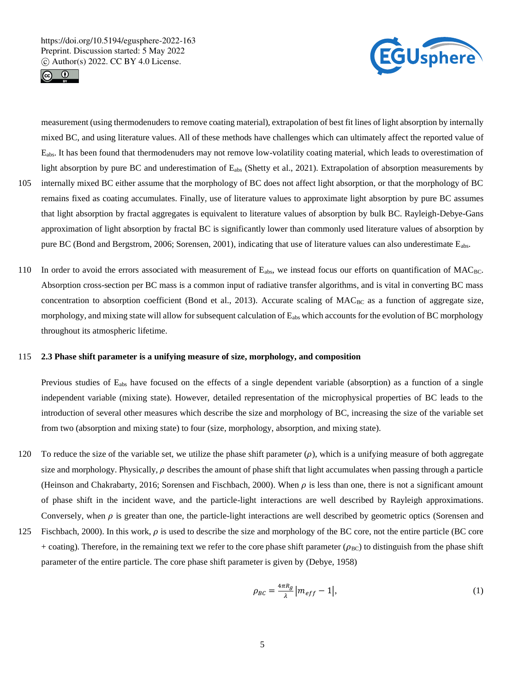



measurement (using thermodenuders to remove coating material), extrapolation of best fit lines of light absorption by internally mixed BC, and using literature values. All of these methods have challenges which can ultimately affect the reported value of Eabs. It has been found that thermodenuders may not remove low-volatility coating material, which leads to overestimation of light absorption by pure BC and underestimation of Eabs (Shetty et al., 2021). Extrapolation of absorption measurements by

- 105 internally mixed BC either assume that the morphology of BC does not affect light absorption, or that the morphology of BC remains fixed as coating accumulates. Finally, use of literature values to approximate light absorption by pure BC assumes that light absorption by fractal aggregates is equivalent to literature values of absorption by bulk BC. Rayleigh-Debye-Gans approximation of light absorption by fractal BC is significantly lower than commonly used literature values of absorption by pure BC (Bond and Bergstrom, 2006; Sorensen, 2001), indicating that use of literature values can also underestimate Eabs.
- 110 In order to avoid the errors associated with measurement of E<sub>abs</sub>, we instead focus our efforts on quantification of MAC<sub>BC</sub>. Absorption cross-section per BC mass is a common input of radiative transfer algorithms, and is vital in converting BC mass concentration to absorption coefficient (Bond et al., 2013). Accurate scaling of  $MAC_{BC}$  as a function of aggregate size, morphology, and mixing state will allow for subsequent calculation of Eabs which accounts for the evolution of BC morphology throughout its atmospheric lifetime.

#### 115 **2.3 Phase shift parameter is a unifying measure of size, morphology, and composition**

Previous studies of E<sub>abs</sub> have focused on the effects of a single dependent variable (absorption) as a function of a single independent variable (mixing state). However, detailed representation of the microphysical properties of BC leads to the introduction of several other measures which describe the size and morphology of BC, increasing the size of the variable set from two (absorption and mixing state) to four (size, morphology, absorption, and mixing state).

- 120 To reduce the size of the variable set, we utilize the phase shift parameter  $(\rho)$ , which is a unifying measure of both aggregate size and morphology. Physically,  $\rho$  describes the amount of phase shift that light accumulates when passing through a particle (Heinson and Chakrabarty, 2016; Sorensen and Fischbach, 2000). When  $\rho$  is less than one, there is not a significant amount of phase shift in the incident wave, and the particle-light interactions are well described by Rayleigh approximations. Conversely, when  $\rho$  is greater than one, the particle-light interactions are well described by geometric optics (Sorensen and
- 125 Fischbach, 2000). In this work,  $\rho$  is used to describe the size and morphology of the BC core, not the entire particle (BC core + coating). Therefore, in the remaining text we refer to the core phase shift parameter ( $\rho_{BC}$ ) to distinguish from the phase shift parameter of the entire particle. The core phase shift parameter is given by (Debye, 1958)

$$
\rho_{BC} = \frac{4\pi R_g}{\lambda} \left| m_{eff} - 1 \right|,\tag{1}
$$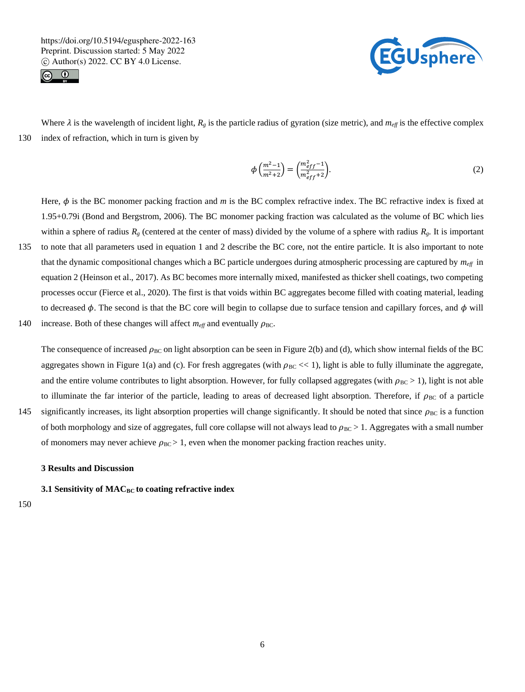



Where  $\lambda$  is the wavelength of incident light,  $R_g$  is the particle radius of gyration (size metric), and  $m_{\text{eff}}$  is the effective complex 130 index of refraction, which in turn is given by

$$
\phi\left(\frac{m^2-1}{m^2+2}\right) = \left(\frac{m_{eff}^2-1}{m_{eff}^2+2}\right).
$$
\n(2)

Here,  $\phi$  is the BC monomer packing fraction and *m* is the BC complex refractive index. The BC refractive index is fixed at 1.95+0.79i (Bond and Bergstrom, 2006). The BC monomer packing fraction was calculated as the volume of BC which lies within a sphere of radius  $R_g$  (centered at the center of mass) divided by the volume of a sphere with radius  $R_g$ . It is important 135 to note that all parameters used in equation 1 and 2 describe the BC core, not the entire particle. It is also important to note that the dynamic compositional changes which a BC particle undergoes during atmospheric processing are captured by *meff* in equation 2 (Heinson et al., 2017). As BC becomes more internally mixed, manifested as thicker shell coatings, two competing processes occur (Fierce et al., 2020). The first is that voids within BC aggregates become filled with coating material, leading to decreased  $\phi$ . The second is that the BC core will begin to collapse due to surface tension and capillary forces, and  $\phi$  will 140 increase. Both of these changes will affect  $m_{\text{eff}}$  and eventually  $\rho_{\text{BC}}$ .

The consequence of increased  $\rho_{BC}$  on light absorption can be seen in Figure 2(b) and (d), which show internal fields of the BC aggregates shown in Figure 1(a) and (c). For fresh aggregates (with  $\rho_{BC} \ll 1$ ), light is able to fully illuminate the aggregate, and the entire volume contributes to light absorption. However, for fully collapsed aggregates (with  $\rho_{BC} > 1$ ), light is not able to illuminate the far interior of the particle, leading to areas of decreased light absorption. Therefore, if  $\rho_{BC}$  of a particle 145 significantly increases, its light absorption properties will change significantly. It should be noted that since  $\rho_{BC}$  is a function

of both morphology and size of aggregates, full core collapse will not always lead to  $\rho_{BC} > 1$ . Aggregates with a small number of monomers may never achieve  $\rho_{BC} > 1$ , even when the monomer packing fraction reaches unity.

#### **3 Results and Discussion**

**3.1 Sensitivity of MACBC to coating refractive index**

150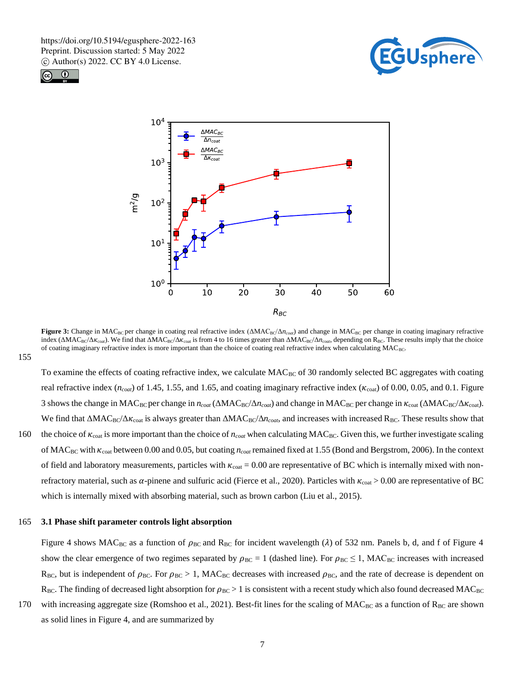





**Figure 3:** Change in MAC<sub>BC</sub> per change in coating real refractive index (ΔMAC<sub>BC</sub>/Δ*n<sub>coat</sub>*) and change in MAC<sub>BC</sub> per change in coating imaginary refractive index (ΔMAC<sub>BC</sub>/Δ $\kappa_{\text{cost}}$ ). We find that ΔMAC<sub>BC</sub>/Δ $\kappa_{\text{cost}}$  is from 4 to 16 times greater than ΔMAC<sub>BC</sub>/Δ $n_{\text{cool}}$ , depending on R<sub>BC</sub>. These results imply that the choice of coating imaginary refractive index is more important than the choice of coating real refractive index when calculating MAC<sub>BC</sub>.

To examine the effects of coating refractive index, we calculate  $MAC_{BC}$  of 30 randomly selected BC aggregates with coating real refractive index ( $n_{coal}$ ) of 1.45, 1.55, and 1.65, and coating imaginary refractive index ( $\kappa_{coal}$ ) of 0.00, 0.05, and 0.1. Figure 3 shows the change in MAC<sub>BC</sub> per change in *n<sub>coat</sub>* (ΔMAC<sub>BC</sub>/Δ*n<sub>coat</sub>*) and change in MAC<sub>BC</sub> per change in  $\kappa_{\text{coat}}$  (ΔMAC<sub>BC</sub>/Δ $\kappa_{\text{coat}}$ ). We find that  $\Delta MAC_{BC}/\Delta K_{\text{coat}}$  is always greater than  $\Delta MAC_{BC}/\Delta n_{coat}$ , and increases with increased R<sub>BC</sub>. These results show that 160 the choice of  $\kappa_{\text{coat}}$  is more important than the choice of  $n_{\text{coat}}$  when calculating MAC<sub>BC</sub>. Given this, we further investigate scaling of MACBC with coat between 0.00 and 0.05, but coating *ncoat* remained fixed at 1.55 (Bond and Bergstrom, 2006). In the context of field and laboratory measurements, particles with  $\kappa_{\text{cot}} = 0.00$  are representative of BC which is internally mixed with nonrefractory material, such as  $\alpha$ -pinene and sulfuric acid (Fierce et al., 2020). Particles with  $\kappa_{\text{cot}} > 0.00$  are representative of BC which is internally mixed with absorbing material, such as brown carbon (Liu et al., 2015).

#### 165 **3.1 Phase shift parameter controls light absorption**

Figure 4 shows MAC<sub>BC</sub> as a function of  $\rho_{BC}$  and R<sub>BC</sub> for incident wavelength ( $\lambda$ ) of 532 nm. Panels b, d, and f of Figure 4 show the clear emergence of two regimes separated by  $\rho_{BC} = 1$  (dashed line). For  $\rho_{BC} \le 1$ , MAC<sub>BC</sub> increases with increased  $R_{BC}$ , but is independent of  $\rho_{BC}$ . For  $\rho_{BC} > 1$ , MAC<sub>BC</sub> decreases with increased  $\rho_{BC}$ , and the rate of decrease is dependent on  $R_{BC}$ . The finding of decreased light absorption for  $\rho_{BC} > 1$  is consistent with a recent study which also found decreased MAC<sub>BC</sub>

170 with increasing aggregate size (Romshoo et al., 2021). Best-fit lines for the scaling of  $MAC_{BC}$  as a function of  $R_{BC}$  are shown as solid lines in Figure 4, and are summarized by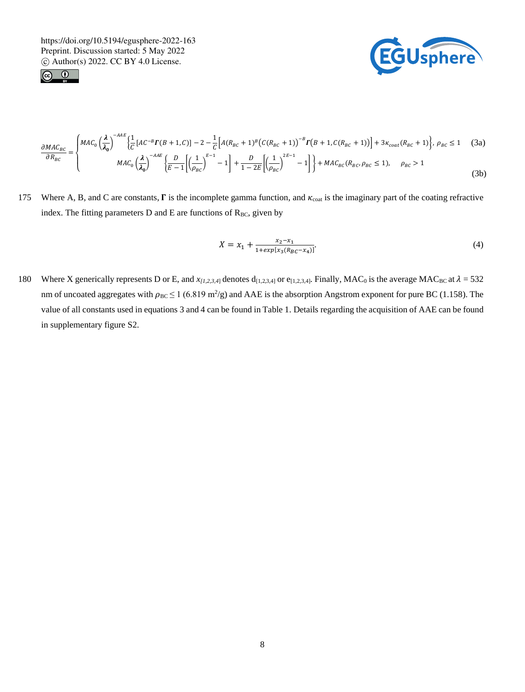



$$
\frac{\partial MAC_{BC}}{\partial R_{BC}} = \begin{cases} MAC_0 \left( \frac{\lambda}{\lambda_0} \right)^{-AAE} \left\{ \frac{1}{C} \left[ AC^{-B} \Gamma(B+1,C) \right] - 2 - \frac{1}{C} \left[ A (R_{BC} + 1)^B \left( C (R_{BC} + 1) \right)^{-B} \Gamma(B+1,C(R_{BC} + 1) \right] \right\} + 3\kappa_{coat}(R_{BC} + 1) \right\}, \ \rho_{BC} \le 1 \quad (3a)
$$
\n
$$
MAC_0 \left( \frac{\lambda}{\lambda_0} \right)^{-AAE} \left\{ \frac{D}{E-1} \left[ \left( \frac{1}{\rho_{BC}} \right)^{E-1} - 1 \right] + \frac{D}{1-2E} \left[ \left( \frac{1}{\rho_{BC}} \right)^{2E-1} - 1 \right] \right\} + MAC_{BC}(R_{BC}, \rho_{BC} \le 1), \quad \rho_{BC} > 1 \quad (3b)
$$

175 Where A, B, and C are constants,  $\Gamma$  is the incomplete gamma function, and  $\kappa_{\text{cont}}$  is the imaginary part of the coating refractive index. The fitting parameters  $D$  and  $E$  are functions of  $R_{BC}$ , given by

$$
X = x_1 + \frac{x_2 - x_1}{1 + exp[x_3(R_Bc - x_4)]}.\tag{4}
$$

180 Where X generically represents D or E, and  $x_{[1,2,3,4]}$  denotes  $d_{[1,2,3,4]}$  or  $e_{[1,2,3,4]}$ . Finally, MAC<sub>0</sub> is the average MAC<sub>BC</sub> at  $\lambda = 532$ nm of uncoated aggregates with  $\rho_{BC} \le 1$  (6.819 m<sup>2</sup>/g) and AAE is the absorption Angstrom exponent for pure BC (1.158). The value of all constants used in equations 3 and 4 can be found in Table 1. Details regarding the acquisition of AAE can be found in supplementary figure S2.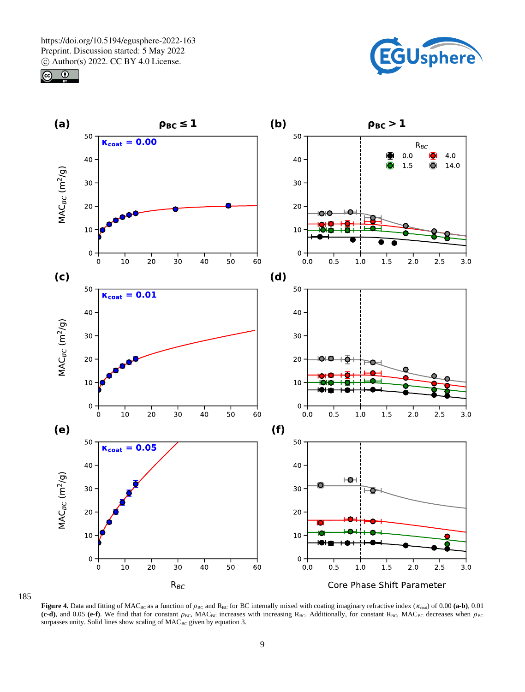





185

**Figure 4.** Data and fitting of MAC<sub>BC</sub> as a function of  $\rho_{BC}$  and  $R_{BC}$  for BC internally mixed with coating imaginary refractive index ( $\kappa_{\text{coat}}$ ) of 0.00 (a-b), 0.01  $(c-d)$ , and 0.05  $(e-f)$ . We find that for constant  $\rho_{BC}$ , MAC<sub>BC</sub> increases with increasing R<sub>BC</sub>. Additionally, for constant R<sub>BC</sub>, MAC<sub>BC</sub> decreases when  $\rho_{BC}$ surpasses unity. Solid lines show scaling of  $MAC_{BC}$  given by equation 3.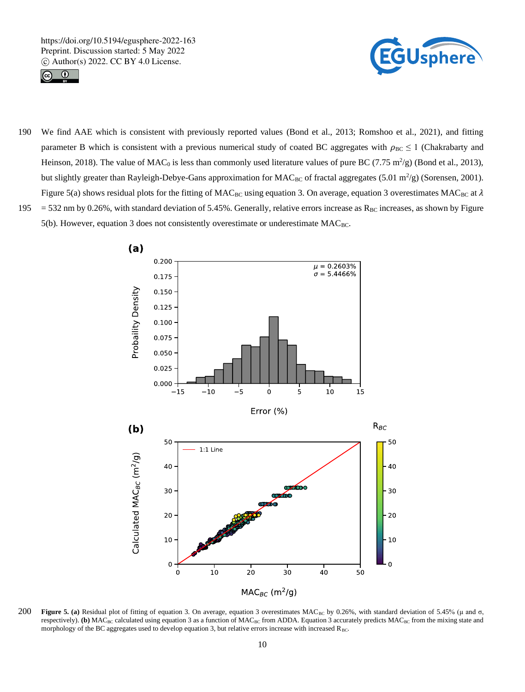



190 We find AAE which is consistent with previously reported values (Bond et al., 2013; Romshoo et al., 2021), and fitting parameter B which is consistent with a previous numerical study of coated BC aggregates with  $\rho_{BC} \le 1$  (Chakrabarty and Heinson, 2018). The value of MAC<sub>0</sub> is less than commonly used literature values of pure BC (7.75 m<sup>2</sup>/g) (Bond et al., 2013), but slightly greater than Rayleigh-Debye-Gans approximation for  $MAC_{BC}$  of fractal aggregates (5.01 m<sup>2</sup>/g) (Sorensen, 2001). Figure 5(a) shows residual plots for the fitting of MAC<sub>BC</sub> using equation 3. On average, equation 3 overestimates MAC<sub>BC</sub> at  $\lambda$ 195 = 532 nm by 0.26%, with standard deviation of 5.45%. Generally, relative errors increase as  $R_{BC}$  increases, as shown by Figure 5(b). However, equation 3 does not consistently overestimate or underestimate MAC<sub>BC</sub>.



**200 Figure 5. (a)** Residual plot of fitting of equation 3. On average, equation 3 overestimates MAC<sub>BC</sub> by 0.26%, with standard deviation of 5.45% (μ and σ, respectively). **(b)** MAC<sub>BC</sub> calculated using equation 3 as a function of MAC<sub>BC</sub> from ADDA. Equation 3 accurately predicts MAC<sub>BC</sub> from the mixing state and morphology of the BC aggregates used to develop equation 3, but relative errors increase with increased RBC.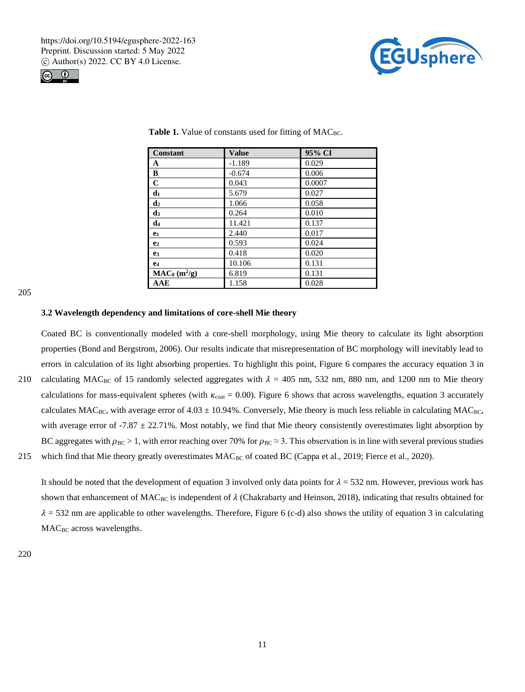



| <b>Constant</b>       | <b>Value</b> | 95% CI |
|-----------------------|--------------|--------|
| A                     | $-1.189$     | 0.029  |
| B                     | $-0.674$     | 0.006  |
| $\mathbf C$           | 0.043        | 0.0007 |
| d <sub>1</sub>        | 5.679        | 0.027  |
| d <sub>2</sub>        | 1.066        | 0.058  |
| $\mathbf{d}_3$        | 0.264        | 0.010  |
| d4                    | 11.421       | 0.137  |
| e <sub>1</sub>        | 2.440        | 0.017  |
| e <sub>2</sub>        | 0.593        | 0.024  |
| e <sub>3</sub>        | 0.418        | 0.020  |
| <b>e</b> <sub>4</sub> | 10.106       | 0.131  |
| $MAC_0 (m^2/g)$       | 6.819        | 0.131  |
| AAE                   | 1.158        | 0.028  |

Table 1. Value of constants used for fitting of MAC<sub>BC</sub>.

205

#### **3.2 Wavelength dependency and limitations of core-shell Mie theory**

Coated BC is conventionally modeled with a core-shell morphology, using Mie theory to calculate its light absorption properties (Bond and Bergstrom, 2006). Our results indicate that misrepresentation of BC morphology will inevitably lead to errors in calculation of its light absorbing properties. To highlight this point, Figure 6 compares the accuracy equation 3 in 210 calculating MAC<sub>BC</sub> of 15 randomly selected aggregates with  $\lambda = 405$  nm, 532 nm, 880 nm, and 1200 nm to Mie theory calculations for mass-equivalent spheres (with  $\kappa_{\text{coat}} = 0.00$ ). Figure 6 shows that across wavelengths, equation 3 accurately calculates  $MAC_{BC}$ , with average error of 4.03  $\pm$  10.94%. Conversely, Mie theory is much less reliable in calculating MAC<sub>BC</sub>, with average error of -7.87  $\pm$  22.71%. Most notably, we find that Mie theory consistently overestimates light absorption by BC aggregates with  $p_{BC} > 1$ , with error reaching over 70% for  $p_{BC} \approx 3$ . This observation is in line with several previous studies

215 which find that Mie theory greatly overestimates MAC<sub>BC</sub> of coated BC (Cappa et al., 2019; Fierce et al., 2020).

It should be noted that the development of equation 3 involved only data points for  $\lambda = 532$  nm. However, previous work has shown that enhancement of MAC<sub>BC</sub> is independent of  $\lambda$  (Chakrabarty and Heinson, 2018), indicating that results obtained for  $\lambda = 532$  nm are applicable to other wavelengths. Therefore, Figure 6 (c-d) also shows the utility of equation 3 in calculating MAC<sub>BC</sub> across wavelengths.

220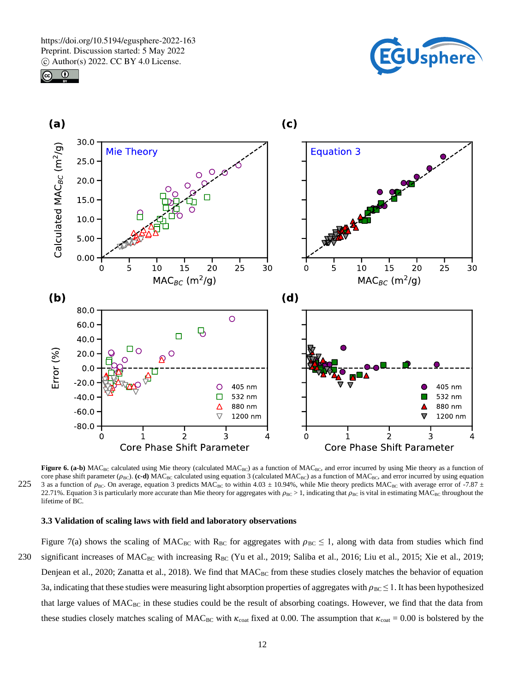





**Figure 6. (a-b)** MAC<sub>BC</sub> calculated using Mie theory (calculated MAC<sub>BC</sub>) as a function of MAC<sub>BC</sub>, and error incurred by using Mie theory as a function of core phase shift parameter ( $\rho_{BC}$ ). (c-d) MAC<sub>BC</sub> calculated using equation 3 (calculated MAC<sub>BC</sub>) as a function of MAC<sub>BC</sub>, and error incurred by using equation 225 3 as a function of  $\rho_{BC}$ . On average, equation 3 predicts MAC<sub>BC</sub> to within 4.03 ± 10.94%, while Mie theory predicts MAC<sub>BC</sub> with average error of -7.87 ± 22.71%. Equation 3 is particularly more accurate than Mie theory for aggregates with  $\rho_{BC} > 1$ , indicating that  $\rho_{BC}$  is vital in estimating MAC<sub>BC</sub> throughout the lifetime of BC.

#### **3.3 Validation of scaling laws with field and laboratory observations**

Figure 7(a) shows the scaling of MAC<sub>BC</sub> with R<sub>BC</sub> for aggregates with  $\rho_{BC} \le 1$ , along with data from studies which find 230 significant increases of MACBC with increasing RBC (Yu et al., 2019; Saliba et al., 2016; Liu et al., 2015; Xie et al., 2019; Denjean et al., 2020; Zanatta et al., 2018). We find that  $MAC_{BC}$  from these studies closely matches the behavior of equation 3a, indicating that these studies were measuring light absorption properties of aggregates with  $\rho_{BC} \leq 1$ . It has been hypothesized that large values of  $MAC_{BC}$  in these studies could be the result of absorbing coatings. However, we find that the data from these studies closely matches scaling of MAC<sub>BC</sub> with  $\kappa_{\text{cotat}}$  fixed at 0.00. The assumption that  $\kappa_{\text{cotat}} = 0.00$  is bolstered by the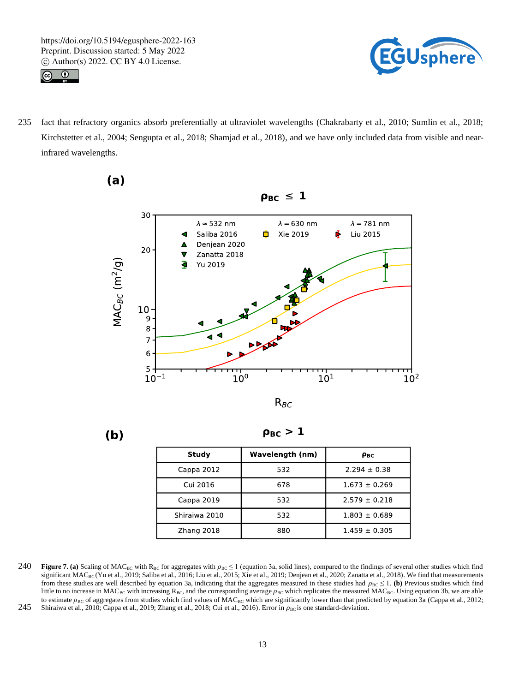



235 fact that refractory organics absorb preferentially at ultraviolet wavelengths (Chakrabarty et al., 2010; Sumlin et al., 2018; Kirchstetter et al., 2004; Sengupta et al., 2018; Shamjad et al., 2018), and we have only included data from visible and nearinfrared wavelengths.



 $(a)$ 



 $\rho_{BC} > 1$ 

| Study         | Wavelength (nm) | Рвс               |
|---------------|-----------------|-------------------|
| Cappa 2012    | 532             | $2.294 \pm 0.38$  |
| Cui 2016      | 678             | $1.673 \pm 0.269$ |
| Cappa 2019    | 532             | $2.579 \pm 0.218$ |
| Shiraiwa 2010 | 532             | $1.803 \pm 0.689$ |
| Zhang 2018    | 880             | $1.459 \pm 0.305$ |
|               |                 |                   |

240 **Figure 7. (a)** Scaling of MAC<sub>BC</sub> with R<sub>BC</sub> for aggregates with  $\rho_{BC} \le 1$  (equation 3a, solid lines), compared to the findings of several other studies which find significant  $MAC_{BC}$  (Yu et al., 2019; Saliba et al., 2016; Liu et al., 2015; Xie et al., 2019; Denjean et al., 2020; Zanatta et al., 2018). We find that measurements from these studies are well described by equation 3a, indicating that the aggregates measured in these studies had  $\rho_{BC} \leq 1$ . (b) Previous studies which find little to no increase in MAC<sub>BC</sub> with increasing R<sub>BC</sub>, and the corresponding average  $\rho_{BC}$  which replicates the measured MAC<sub>BC</sub>. Using equation 3b, we are able to estimate  $\rho_{BC}$  of aggregates from studies which find values of MAC<sub>BC</sub> which are significantly lower than that predicted by equation 3a (Cappa et al., 2012; 245 Shiraiwa et al., 2010; Cappa et al., 2019; Zhang et al., 2018; Cui et al., 2016). Error in  $\rho_{BC}$  is one standard-deviation.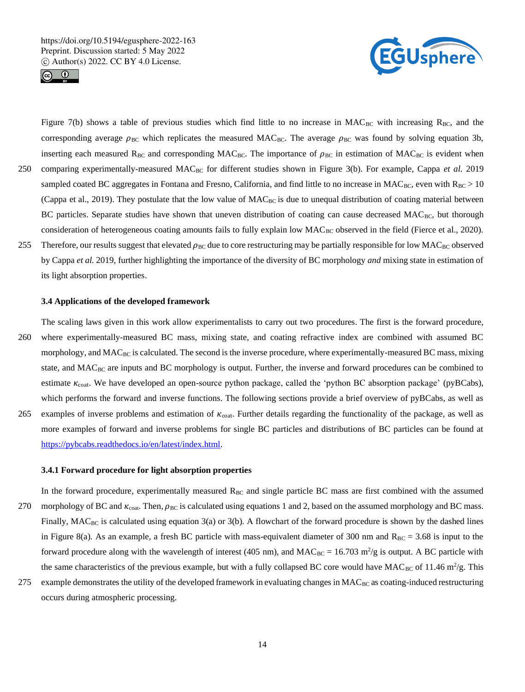



Figure 7(b) shows a table of previous studies which find little to no increase in  $MAC_{BC}$  with increasing  $R_{BC}$ , and the corresponding average  $\rho_{BC}$  which replicates the measured MAC<sub>BC</sub>. The average  $\rho_{BC}$  was found by solving equation 3b, inserting each measured R<sub>BC</sub> and corresponding MAC<sub>BC</sub>. The importance of  $\rho_{BC}$  in estimation of MAC<sub>BC</sub> is evident when 250 comparing experimentally-measured MAC<sub>BC</sub> for different studies shown in Figure 3(b). For example, Cappa *et al.* 2019 sampled coated BC aggregates in Fontana and Fresno, California, and find little to no increase in MAC<sub>BC</sub>, even with  $R_{BC} > 10$ (Cappa et al., 2019). They postulate that the low value of MACBC is due to unequal distribution of coating material between BC particles. Separate studies have shown that uneven distribution of coating can cause decreased  $MAC_{BC}$ , but thorough consideration of heterogeneous coating amounts fails to fully explain low  $MAC_{BC}$  observed in the field (Fierce et al., 2020). 255 Therefore, our results suggest that elevated  $\rho_{BC}$  due to core restructuring may be partially responsible for low MAC<sub>BC</sub> observed by Cappa *et al.* 2019*,* further highlighting the importance of the diversity of BC morphology *and* mixing state in estimation of its light absorption properties.

#### **3.4 Applications of the developed framework**

The scaling laws given in this work allow experimentalists to carry out two procedures. The first is the forward procedure, 260 where experimentally-measured BC mass, mixing state, and coating refractive index are combined with assumed BC morphology, and  $MAC_{BC}$  is calculated. The second is the inverse procedure, where experimentally-measured BC mass, mixing state, and MAC<sub>BC</sub> are inputs and BC morphology is output. Further, the inverse and forward procedures can be combined to estimate  $\kappa_{\text{coat}}$ . We have developed an open-source python package, called the 'python BC absorption package' (pyBCabs), which performs the forward and inverse functions. The following sections provide a brief overview of pyBCabs, as well as 265 examples of inverse problems and estimation of  $\kappa_{\text{cont}}$ . Further details regarding the functionality of the package, as well as

more examples of forward and inverse problems for single BC particles and distributions of BC particles can be found at https://pybcabs.readthedocs.io/en/latest/index.html.

#### **3.4.1 Forward procedure for light absorption properties**

In the forward procedure, experimentally measured  $R_{BC}$  and single particle BC mass are first combined with the assumed 270 morphology of BC and  $\kappa_{\text{coal}}$ . Then,  $\rho_{\text{BC}}$  is calculated using equations 1 and 2, based on the assumed morphology and BC mass. Finally,  $MAC_{BC}$  is calculated using equation 3(a) or 3(b). A flowchart of the forward procedure is shown by the dashed lines in Figure 8(a). As an example, a fresh BC particle with mass-equivalent diameter of 300 nm and  $R_{BC} = 3.68$  is input to the forward procedure along with the wavelength of interest (405 nm), and  $MAC_{BC} = 16.703$  m<sup>2</sup>/g is output. A BC particle with the same characteristics of the previous example, but with a fully collapsed BC core would have MAC<sub>BC</sub> of 11.46 m<sup>2</sup>/g. This

275 example demonstrates the utility of the developed framework in evaluating changes in MAC<sub>BC</sub> as coating-induced restructuring occurs during atmospheric processing.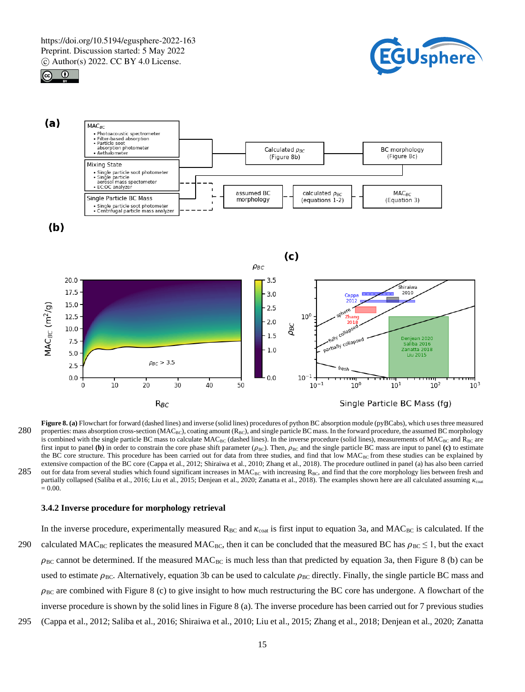





**Figure 8. (a)** Flowchart for forward (dashed lines) and inverse (solid lines) procedures of python BC absorption module (pyBCabs), which uses three measured 280 properties: mass absorption cross-section ( $MAC_{BC}$ ), coating amount ( $R_{BC}$ ), and single particle BC mass. In the forward procedure, the assumed BC morphology is combined with the single particle BC mass to calculate  $MAC_{BC}$  (dashed lines). In the inverse procedure (solid lines), measurements of  $MAC_{BC}$  and  $R_{BC}$  are first input to panel **(b)** in order to constrain the core phase shift parameter  $(\rho_{BC})$ . Then,  $\rho_{BC}$  and the single particle BC mass are input to panel **(c)** to estimate the BC core structure. This procedure has been carried out for data from three studies, and find that low MAC<sub>BC</sub> from these studies can be explained by extensive compaction of the BC core (Cappa et al., 2012; Shiraiwa et al., 2010; Zhang et al., 2018). The procedure outlined in panel (a) has also been carried 285 out for data from several studies which found significant increases in  $MAC_{BC}$  with increasing  $R_{BC}$ , and find that the core morphology lies between fresh and partially collapsed (Saliba et al., 2016; Liu et al., 2015; Denjean et al., 2020; Zanatta et al., 2018). The examples shown here are all calculated assuming  $\kappa_{\rm coal}$  $= 0.00.$ 

#### **3.4.2 Inverse procedure for morphology retrieval**

In the inverse procedure, experimentally measured  $R_{BC}$  and  $\kappa_{\text{coat}}$  is first input to equation 3a, and MAC<sub>BC</sub> is calculated. If the 290 calculated MAC<sub>BC</sub> replicates the measured MAC<sub>BC</sub>, then it can be concluded that the measured BC has  $\rho_{BC} \le 1$ , but the exact  $\rho_{BC}$  cannot be determined. If the measured MAC<sub>BC</sub> is much less than that predicted by equation 3a, then Figure 8 (b) can be used to estimate  $\rho_{BC}$ . Alternatively, equation 3b can be used to calculate  $\rho_{BC}$  directly. Finally, the single particle BC mass and  $\rho_{BC}$  are combined with Figure 8 (c) to give insight to how much restructuring the BC core has undergone. A flowchart of the inverse procedure is shown by the solid lines in Figure 8 (a). The inverse procedure has been carried out for 7 previous studies

295 (Cappa et al., 2012; Saliba et al., 2016; Shiraiwa et al., 2010; Liu et al., 2015; Zhang et al., 2018; Denjean et al., 2020; Zanatta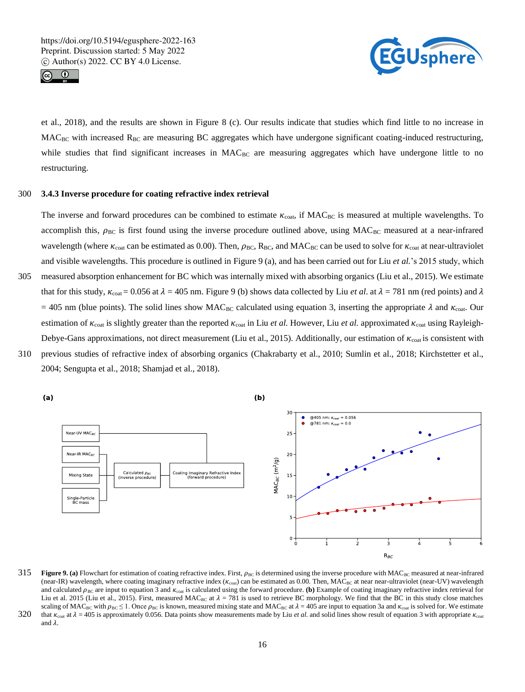



et al., 2018), and the results are shown in Figure 8 (c). Our results indicate that studies which find little to no increase in  $MAC_{BC}$  with increased  $R_{BC}$  are measuring BC aggregates which have undergone significant coating-induced restructuring, while studies that find significant increases in MAC<sub>BC</sub> are measuring aggregates which have undergone little to no restructuring.

## 300 **3.4.3 Inverse procedure for coating refractive index retrieval**

The inverse and forward procedures can be combined to estimate  $\kappa_{\text{coal}}$ , if  $\text{MAC}_{\text{BC}}$  is measured at multiple wavelengths. To accomplish this,  $\rho_{BC}$  is first found using the inverse procedure outlined above, using  $MAC_{BC}$  measured at a near-infrared wavelength (where  $\kappa_{\text{coal}}$  can be estimated as 0.00). Then,  $\rho_{\text{BC}}$ , R<sub>BC</sub>, and MAC<sub>BC</sub> can be used to solve for  $\kappa_{\text{coal}}$  at near-ultraviolet and visible wavelengths. This procedure is outlined in Figure 9 (a), and has been carried out for Liu *et al.*'s 2015 study, which

- 305 measured absorption enhancement for BC which was internally mixed with absorbing organics (Liu et al., 2015). We estimate that for this study,  $\kappa_{\text{cot}} = 0.056$  at  $\lambda = 405$  nm. Figure 9 (b) shows data collected by Liu *et al.* at  $\lambda = 781$  nm (red points) and  $\lambda$ = 405 nm (blue points). The solid lines show MAC<sub>BC</sub> calculated using equation 3, inserting the appropriate  $\lambda$  and  $\kappa_{\text{cont}}$ . Our estimation of  $\kappa_{\text{coat}}$  is slightly greater than the reported  $\kappa_{\text{coat}}$  in Liu *et al.* However, Liu *et al.* approximated  $\kappa_{\text{coat}}$  using Rayleigh-Debye-Gans approximations, not direct measurement (Liu et al., 2015). Additionally, our estimation of  $\kappa_{\text{coal}}$  is consistent with
- 310 previous studies of refractive index of absorbing organics (Chakrabarty et al., 2010; Sumlin et al., 2018; Kirchstetter et al., 2004; Sengupta et al., 2018; Shamjad et al., 2018).



#### 315 **Figure 9. (a)** Flowchart for estimation of coating refractive index. First,  $\rho_{BC}$  is determined using the inverse procedure with MAC<sub>BC</sub> measured at near-infrared (near-IR) wavelength, where coating imaginary refractive index ( $\kappa_{\rm coat}$ ) can be estimated as 0.00. Then, MAC<sub>BC</sub> at near near-ultraviolet (near-UV) wavelength and calculated  $\rho_{BC}$  are input to equation 3 and  $\kappa_{\text{coal}}$  is calculated using the forward procedure. (b) Example of coating imaginary refractive index retrieval for Liu et al. 2015 (Liu et al., 2015). First, measured MAC<sub>BC</sub> at  $\lambda = 781$  is used to retrieve BC morphology. We find that the BC in this study close matches scaling of MAC<sub>BC</sub> with  $\rho_{BC} \le 1$ . Once  $\rho_{BC}$  is known, measured mixing state and MAC<sub>BC</sub> at  $\lambda = 405$  are input to equation 3a and  $\kappa_{\text{cost}}$  is solved for. We estimate

320 that  $\kappa_{\text{cost}}$  at  $\lambda = 405$  is approximately 0.056. Data points show measurements made by Liu *et al.* and solid lines show result of equation 3 with appropriate  $\kappa_{\text{cost}}$ and  $\lambda$ .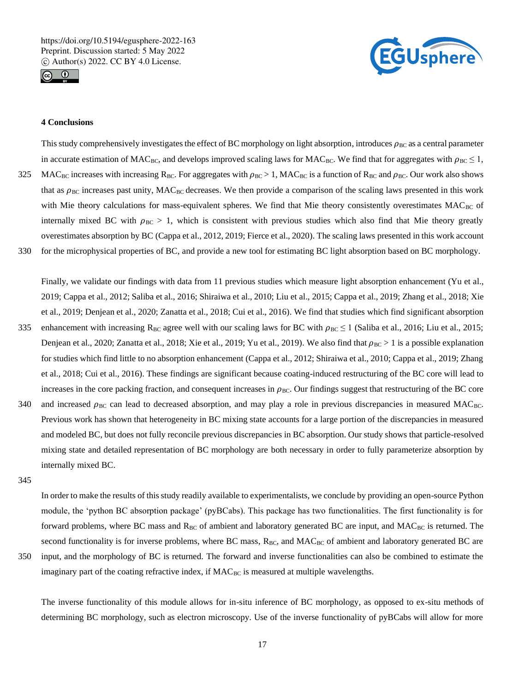



# **4 Conclusions**

This study comprehensively investigates the effect of BC morphology on light absorption, introduces  $\rho_{BC}$  as a central parameter in accurate estimation of MAC<sub>BC</sub>, and develops improved scaling laws for MAC<sub>BC</sub>. We find that for aggregates with  $\rho_{BC} \le 1$ , 325 MAC<sub>BC</sub> increases with increasing R<sub>BC</sub>. For aggregates with  $\rho_{BC} > 1$ , MAC<sub>BC</sub> is a function of R<sub>BC</sub> and  $\rho_{BC}$ . Our work also shows that as  $\rho_{BC}$  increases past unity, MAC<sub>BC</sub> decreases. We then provide a comparison of the scaling laws presented in this work with Mie theory calculations for mass-equivalent spheres. We find that Mie theory consistently overestimates MACBC of internally mixed BC with  $\rho_{BC} > 1$ , which is consistent with previous studies which also find that Mie theory greatly overestimates absorption by BC (Cappa et al., 2012, 2019; Fierce et al., 2020). The scaling laws presented in this work account 330 for the microphysical properties of BC, and provide a new tool for estimating BC light absorption based on BC morphology.

Finally, we validate our findings with data from 11 previous studies which measure light absorption enhancement (Yu et al., 2019; Cappa et al., 2012; Saliba et al., 2016; Shiraiwa et al., 2010; Liu et al., 2015; Cappa et al., 2019; Zhang et al., 2018; Xie et al., 2019; Denjean et al., 2020; Zanatta et al., 2018; Cui et al., 2016). We find that studies which find significant absorption

- 335 enhancement with increasing R<sub>BC</sub> agree well with our scaling laws for BC with  $\rho_{BC} \le 1$  (Saliba et al., 2016; Liu et al., 2015; Denjean et al., 2020; Zanatta et al., 2018; Xie et al., 2019; Yu et al., 2019). We also find that  $\rho_{BC} > 1$  is a possible explanation for studies which find little to no absorption enhancement (Cappa et al., 2012; Shiraiwa et al., 2010; Cappa et al., 2019; Zhang et al., 2018; Cui et al., 2016). These findings are significant because coating-induced restructuring of the BC core will lead to increases in the core packing fraction, and consequent increases in  $\rho_{BC}$ . Our findings suggest that restructuring of the BC core
- 340 and increased  $\rho_{BC}$  can lead to decreased absorption, and may play a role in previous discrepancies in measured MAC<sub>BC</sub>. Previous work has shown that heterogeneity in BC mixing state accounts for a large portion of the discrepancies in measured and modeled BC, but does not fully reconcile previous discrepancies in BC absorption. Our study shows that particle-resolved mixing state and detailed representation of BC morphology are both necessary in order to fully parameterize absorption by internally mixed BC.

345

In order to make the results of this study readily available to experimentalists, we conclude by providing an open-source Python module, the 'python BC absorption package' (pyBCabs). This package has two functionalities. The first functionality is for forward problems, where BC mass and  $R_{BC}$  of ambient and laboratory generated BC are input, and  $MAC_{BC}$  is returned. The second functionality is for inverse problems, where BC mass, RBC, and MACBC of ambient and laboratory generated BC are

350 input, and the morphology of BC is returned. The forward and inverse functionalities can also be combined to estimate the

The inverse functionality of this module allows for in-situ inference of BC morphology, as opposed to ex-situ methods of determining BC morphology, such as electron microscopy. Use of the inverse functionality of pyBCabs will allow for more

imaginary part of the coating refractive index, if MAC<sub>BC</sub> is measured at multiple wavelengths.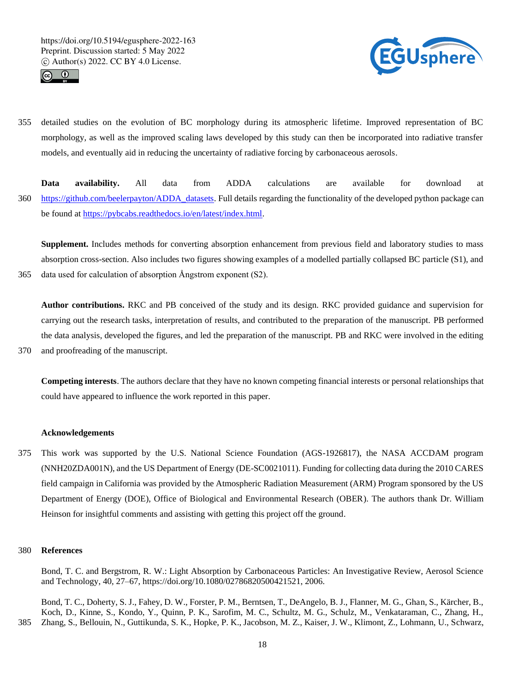



- 355 detailed studies on the evolution of BC morphology during its atmospheric lifetime. Improved representation of BC morphology, as well as the improved scaling laws developed by this study can then be incorporated into radiative transfer models, and eventually aid in reducing the uncertainty of radiative forcing by carbonaceous aerosols.
- **Data availability.** All data from ADDA calculations are available for download at 360 https://github.com/beelerpayton/ADDA\_datasets. Full details regarding the functionality of the developed python package can be found at https://pybcabs.readthedocs.io/en/latest/index.html.

**Supplement.** Includes methods for converting absorption enhancement from previous field and laboratory studies to mass absorption cross-section. Also includes two figures showing examples of a modelled partially collapsed BC particle (S1), and 365 data used for calculation of absorption Ångstrom exponent (S2).

**Author contributions.** RKC and PB conceived of the study and its design. RKC provided guidance and supervision for carrying out the research tasks, interpretation of results, and contributed to the preparation of the manuscript. PB performed the data analysis, developed the figures, and led the preparation of the manuscript. PB and RKC were involved in the editing 370 and proofreading of the manuscript.

**Competing interests**. The authors declare that they have no known competing financial interests or personal relationships that could have appeared to influence the work reported in this paper.

## **Acknowledgements**

375 This work was supported by the U.S. National Science Foundation (AGS-1926817), the NASA ACCDAM program (NNH20ZDA001N), and the US Department of Energy (DE-SC0021011). Funding for collecting data during the 2010 CARES field campaign in California was provided by the Atmospheric Radiation Measurement (ARM) Program sponsored by the US Department of Energy (DOE), Office of Biological and Environmental Research (OBER). The authors thank Dr. William Heinson for insightful comments and assisting with getting this project off the ground.

#### 380 **References**

Bond, T. C. and Bergstrom, R. W.: Light Absorption by Carbonaceous Particles: An Investigative Review, Aerosol Science and Technology, 40, 27–67, https://doi.org/10.1080/02786820500421521, 2006.

Bond, T. C., Doherty, S. J., Fahey, D. W., Forster, P. M., Berntsen, T., DeAngelo, B. J., Flanner, M. G., Ghan, S., Kärcher, B., Koch, D., Kinne, S., Kondo, Y., Quinn, P. K., Sarofim, M. C., Schultz, M. G., Schulz, M., Venkataraman, C., Zhang, H., 385 Zhang, S., Bellouin, N., Guttikunda, S. K., Hopke, P. K., Jacobson, M. Z., Kaiser, J. W., Klimont, Z., Lohmann, U., Schwarz,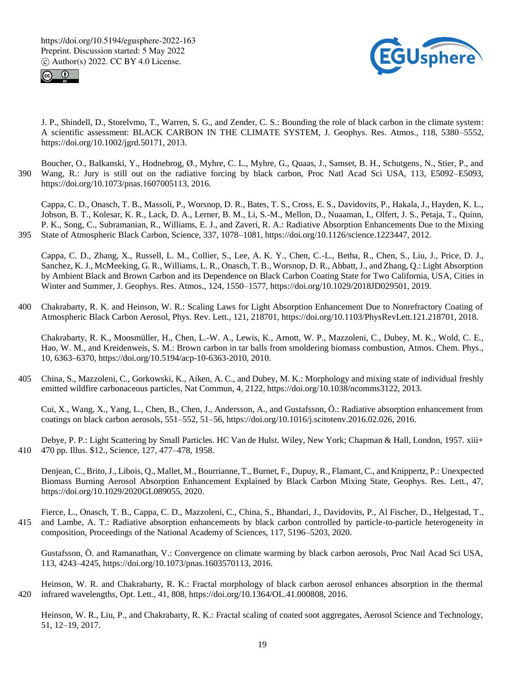



J. P., Shindell, D., Storelvmo, T., Warren, S. G., and Zender, C. S.: Bounding the role of black carbon in the climate system: A scientific assessment: BLACK CARBON IN THE CLIMATE SYSTEM, J. Geophys. Res. Atmos., 118, 5380–5552, https://doi.org/10.1002/jgrd.50171, 2013.

Boucher, O., Balkanski, Y., Hodnebrog, Ø., Myhre, C. L., Myhre, G., Quaas, J., Samset, B. H., Schutgens, N., Stier, P., and 390 Wang, R.: Jury is still out on the radiative forcing by black carbon, Proc Natl Acad Sci USA, 113, E5092–E5093, https://doi.org/10.1073/pnas.1607005113, 2016.

Cappa, C. D., Onasch, T. B., Massoli, P., Worsnop, D. R., Bates, T. S., Cross, E. S., Davidovits, P., Hakala, J., Hayden, K. L., Jobson, B. T., Kolesar, K. R., Lack, D. A., Lerner, B. M., Li, S.-M., Mellon, D., Nuaaman, I., Olfert, J. S., Petaja, T., Quinn, P. K., Song, C., Subramanian, R., Williams, E. J., and Zaveri, R. A.: Radiative Absorption Enhancements Due to the Mixing 395 State of Atmospheric Black Carbon, Science, 337, 1078–1081, https://doi.org/10.1126/science.1223447, 2012.

Cappa, C. D., Zhang, X., Russell, L. M., Collier, S., Lee, A. K. Y., Chen, C.-L., Betha, R., Chen, S., Liu, J., Price, D. J., Sanchez, K. J., McMeeking, G. R., Williams, L. R., Onasch, T. B., Worsnop, D. R., Abbatt, J., and Zhang, Q.: Light Absorption by Ambient Black and Brown Carbon and its Dependence on Black Carbon Coating State for Two California, USA, Cities in Winter and Summer, J. Geophys. Res. Atmos., 124, 1550–1577, https://doi.org/10.1029/2018JD029501, 2019.

400 Chakrabarty, R. K. and Heinson, W. R.: Scaling Laws for Light Absorption Enhancement Due to Nonrefractory Coating of Atmospheric Black Carbon Aerosol, Phys. Rev. Lett., 121, 218701, https://doi.org/10.1103/PhysRevLett.121.218701, 2018.

Chakrabarty, R. K., Moosmüller, H., Chen, L.-W. A., Lewis, K., Arnott, W. P., Mazzoleni, C., Dubey, M. K., Wold, C. E., Hao, W. M., and Kreidenweis, S. M.: Brown carbon in tar balls from smoldering biomass combustion, Atmos. Chem. Phys., 10, 6363–6370, https://doi.org/10.5194/acp-10-6363-2010, 2010.

405 China, S., Mazzoleni, C., Gorkowski, K., Aiken, A. C., and Dubey, M. K.: Morphology and mixing state of individual freshly emitted wildfire carbonaceous particles, Nat Commun, 4, 2122, https://doi.org/10.1038/ncomms3122, 2013.

Cui, X., Wang, X., Yang, L., Chen, B., Chen, J., Andersson, A., and Gustafsson, Ö.: Radiative absorption enhancement from coatings on black carbon aerosols, 551–552, 51–56, https://doi.org/10.1016/j.scitotenv.2016.02.026, 2016.

Debye, P. P.: Light Scattering by Small Particles. HC Van de Hulst. Wiley, New York; Chapman & Hall, London, 1957. xiii+ 410 470 pp. Illus. \$12., Science, 127, 477–478, 1958.

Denjean, C., Brito, J., Libois, Q., Mallet, M., Bourrianne, T., Burnet, F., Dupuy, R., Flamant, C., and Knippertz, P.: Unexpected Biomass Burning Aerosol Absorption Enhancement Explained by Black Carbon Mixing State, Geophys. Res. Lett., 47, https://doi.org/10.1029/2020GL089055, 2020.

Fierce, L., Onasch, T. B., Cappa, C. D., Mazzoleni, C., China, S., Bhandari, J., Davidovits, P., Al Fischer, D., Helgestad, T., 415 and Lambe, A. T.: Radiative absorption enhancements by black carbon controlled by particle-to-particle heterogeneity in composition, Proceedings of the National Academy of Sciences, 117, 5196–5203, 2020.

Gustafsson, Ö. and Ramanathan, V.: Convergence on climate warming by black carbon aerosols, Proc Natl Acad Sci USA, 113, 4243–4245, https://doi.org/10.1073/pnas.1603570113, 2016.

Heinson, W. R. and Chakrabarty, R. K.: Fractal morphology of black carbon aerosol enhances absorption in the thermal 420 infrared wavelengths, Opt. Lett., 41, 808, https://doi.org/10.1364/OL.41.000808, 2016.

Heinson, W. R., Liu, P., and Chakrabarty, R. K.: Fractal scaling of coated soot aggregates, Aerosol Science and Technology, 51, 12–19, 2017.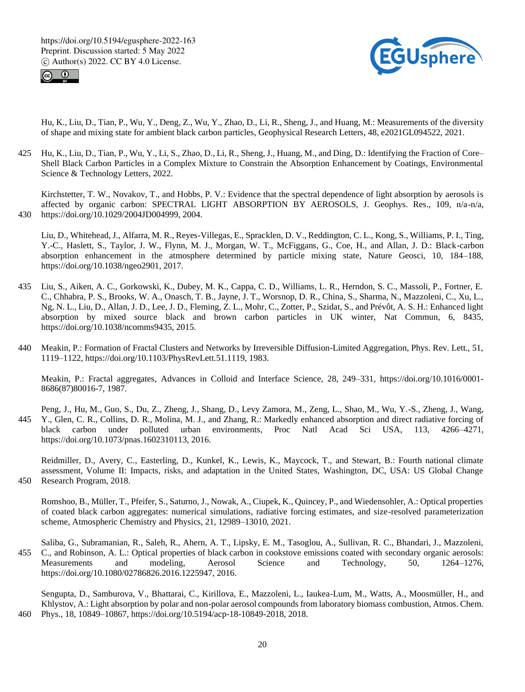



Hu, K., Liu, D., Tian, P., Wu, Y., Deng, Z., Wu, Y., Zhao, D., Li, R., Sheng, J., and Huang, M.: Measurements of the diversity of shape and mixing state for ambient black carbon particles, Geophysical Research Letters, 48, e2021GL094522, 2021.

425 Hu, K., Liu, D., Tian, P., Wu, Y., Li, S., Zhao, D., Li, R., Sheng, J., Huang, M., and Ding, D.: Identifying the Fraction of Core– Shell Black Carbon Particles in a Complex Mixture to Constrain the Absorption Enhancement by Coatings, Environmental Science & Technology Letters, 2022.

Kirchstetter, T. W., Novakov, T., and Hobbs, P. V.: Evidence that the spectral dependence of light absorption by aerosols is affected by organic carbon: SPECTRAL LIGHT ABSORPTION BY AEROSOLS, J. Geophys. Res., 109, n/a-n/a, 430 https://doi.org/10.1029/2004JD004999, 2004.

- Liu, D., Whitehead, J., Alfarra, M. R., Reyes-Villegas, E., Spracklen, D. V., Reddington, C. L., Kong, S., Williams, P. I., Ting, Y.-C., Haslett, S., Taylor, J. W., Flynn, M. J., Morgan, W. T., McFiggans, G., Coe, H., and Allan, J. D.: Black-carbon absorption enhancement in the atmosphere determined by particle mixing state, Nature Geosci, 10, 184–188, https://doi.org/10.1038/ngeo2901, 2017.
- 435 Liu, S., Aiken, A. C., Gorkowski, K., Dubey, M. K., Cappa, C. D., Williams, L. R., Herndon, S. C., Massoli, P., Fortner, E. C., Chhabra, P. S., Brooks, W. A., Onasch, T. B., Jayne, J. T., Worsnop, D. R., China, S., Sharma, N., Mazzoleni, C., Xu, L., Ng, N. L., Liu, D., Allan, J. D., Lee, J. D., Fleming, Z. L., Mohr, C., Zotter, P., Szidat, S., and Prévôt, A. S. H.: Enhanced light absorption by mixed source black and brown carbon particles in UK winter, Nat Commun, 6, 8435, https://doi.org/10.1038/ncomms9435, 2015.
- 440 Meakin, P.: Formation of Fractal Clusters and Networks by Irreversible Diffusion-Limited Aggregation, Phys. Rev. Lett., 51, 1119–1122, https://doi.org/10.1103/PhysRevLett.51.1119, 1983.

Meakin, P.: Fractal aggregates, Advances in Colloid and Interface Science, 28, 249–331, https://doi.org/10.1016/0001- 8686(87)80016-7, 1987.

Peng, J., Hu, M., Guo, S., Du, Z., Zheng, J., Shang, D., Levy Zamora, M., Zeng, L., Shao, M., Wu, Y.-S., Zheng, J., Wang, 445 Y., Glen, C. R., Collins, D. R., Molina, M. J., and Zhang, R.: Markedly enhanced absorption and direct radiative forcing of black carbon under polluted urban environments, Proc Natl Acad Sci USA, 113, 4266–4271, https://doi.org/10.1073/pnas.1602310113, 2016.

Reidmiller, D., Avery, C., Easterling, D., Kunkel, K., Lewis, K., Maycock, T., and Stewart, B.: Fourth national climate assessment, Volume II: Impacts, risks, and adaptation in the United States, Washington, DC, USA: US Global Change 450 Research Program, 2018.

Romshoo, B., Müller, T., Pfeifer, S., Saturno, J., Nowak, A., Ciupek, K., Quincey, P., and Wiedensohler, A.: Optical properties of coated black carbon aggregates: numerical simulations, radiative forcing estimates, and size-resolved parameterization scheme, Atmospheric Chemistry and Physics, 21, 12989–13010, 2021.

Saliba, G., Subramanian, R., Saleh, R., Ahern, A. T., Lipsky, E. M., Tasoglou, A., Sullivan, R. C., Bhandari, J., Mazzoleni, 455 C., and Robinson, A. L.: Optical properties of black carbon in cookstove emissions coated with secondary organic aerosols: Measurements and modeling, Aerosol Science and Technology, 50, 1264–1276, https://doi.org/10.1080/02786826.2016.1225947, 2016.

Sengupta, D., Samburova, V., Bhattarai, C., Kirillova, E., Mazzoleni, L., Iaukea-Lum, M., Watts, A., Moosmüller, H., and Khlystov, A.: Light absorption by polar and non-polar aerosol compounds from laboratory biomass combustion, Atmos. Chem. 460 Phys., 18, 10849–10867, https://doi.org/10.5194/acp-18-10849-2018, 2018.